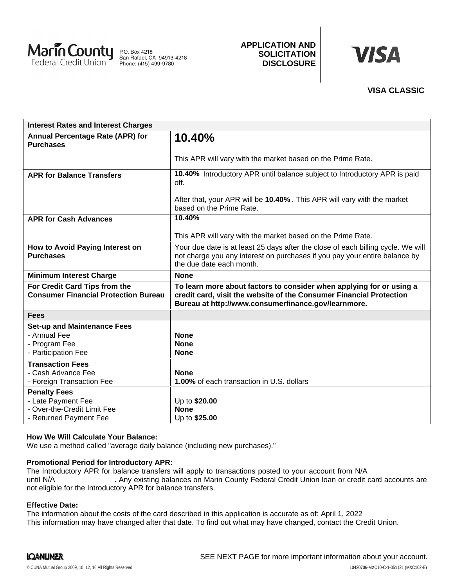

P.O. Box 4218<br>San Rafael, CA 94913-4218<br>Phone: (415) 499-9780

### **APPLICATION AND SOLICITATION DISCLOSURE**

# **VISA**

## **VISA CLASSIC**

| <b>Interest Rates and Interest Charges</b>                                                                                           |                                                                                                                                                                                                    |
|--------------------------------------------------------------------------------------------------------------------------------------|----------------------------------------------------------------------------------------------------------------------------------------------------------------------------------------------------|
| <b>Annual Percentage Rate (APR) for</b><br><b>Purchases</b>                                                                          | 10.40%                                                                                                                                                                                             |
|                                                                                                                                      | This APR will vary with the market based on the Prime Rate.                                                                                                                                        |
| <b>APR for Balance Transfers</b>                                                                                                     | 10.40% Introductory APR until balance subject to Introductory APR is paid<br>off.                                                                                                                  |
|                                                                                                                                      | After that, your APR will be 10.40%. This APR will vary with the market<br>based on the Prime Rate.                                                                                                |
| <b>APR for Cash Advances</b>                                                                                                         | 10.40%                                                                                                                                                                                             |
|                                                                                                                                      | This APR will vary with the market based on the Prime Rate.                                                                                                                                        |
| How to Avoid Paying Interest on<br><b>Purchases</b>                                                                                  | Your due date is at least 25 days after the close of each billing cycle. We will<br>not charge you any interest on purchases if you pay your entire balance by<br>the due date each month.         |
| <b>Minimum Interest Charge</b>                                                                                                       | <b>None</b>                                                                                                                                                                                        |
| For Credit Card Tips from the<br><b>Consumer Financial Protection Bureau</b>                                                         | To learn more about factors to consider when applying for or using a<br>credit card, visit the website of the Consumer Financial Protection<br>Bureau at http://www.consumerfinance.gov/learnmore. |
| <b>Fees</b>                                                                                                                          |                                                                                                                                                                                                    |
| <b>Set-up and Maintenance Fees</b>                                                                                                   |                                                                                                                                                                                                    |
|                                                                                                                                      | <b>None</b>                                                                                                                                                                                        |
|                                                                                                                                      |                                                                                                                                                                                                    |
|                                                                                                                                      |                                                                                                                                                                                                    |
| - Cash Advance Fee                                                                                                                   | <b>None</b>                                                                                                                                                                                        |
| - Foreign Transaction Fee                                                                                                            | <b>1.00%</b> of each transaction in U.S. dollars                                                                                                                                                   |
| <b>Penalty Fees</b>                                                                                                                  |                                                                                                                                                                                                    |
|                                                                                                                                      |                                                                                                                                                                                                    |
| - Returned Payment Fee                                                                                                               | Up to \$25.00                                                                                                                                                                                      |
| - Annual Fee<br>- Program Fee<br>- Participation Fee<br><b>Transaction Fees</b><br>- Late Payment Fee<br>- Over-the-Credit Limit Fee | <b>None</b><br><b>None</b><br>Up to \$20.00<br><b>None</b>                                                                                                                                         |

#### **How We Will Calculate Your Balance:**

We use a method called "average daily balance (including new purchases)."

#### **Promotional Period for Introductory APR:**

The Introductory APR for balance transfers will apply to transactions posted to your account from N/A . Any existing balances on Marin County Federal Credit Union loan or credit card accounts are not eligible for the Introductory APR for balance transfers. until N/A

#### **Effective Date:**

The information about the costs of the card described in this application is accurate as of: April 1, 2022This information may have changed after that date. To find out what may have changed, contact the Credit Union.